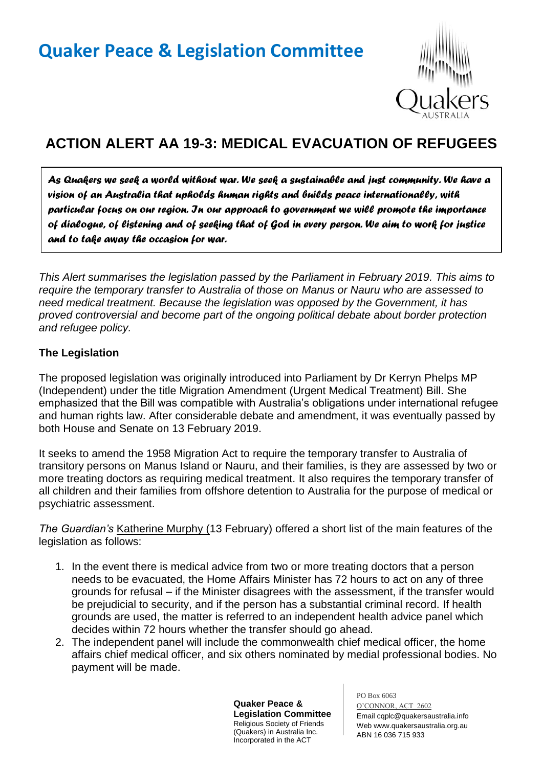

## **ACTION ALERT AA 19-3: MEDICAL EVACUATION OF REFUGEES**

*As Quakers we seek a world without war. We seek a sustainable and just community. We have a vision of an Australia that upholds human rights and builds peace internationally, with particular focus on our region. In our approach to government we will promote the importance of dialogue, of listening and of seeking that of God in every person. We aim to work for justice and to take away the occasion for war.* 

*This Alert summarises the legislation passed by the Parliament in February 2019. This aims to require the temporary transfer to Australia of those on Manus or Nauru who are assessed to need medical treatment. Because the legislation was opposed by the Government, it has proved controversial and become part of the ongoing political debate about border protection and refugee policy.*

## **The Legislation**

The proposed legislation was originally introduced into Parliament by Dr Kerryn Phelps MP (Independent) under the title Migration Amendment (Urgent Medical Treatment) Bill. She emphasized that the Bill was compatible with Australia's obligations under international refugee and human rights law. After considerable debate and amendment, it was eventually passed by both House and Senate on 13 February 2019.

It seeks to amend the 1958 Migration Act to require the temporary transfer to Australia of transitory persons on Manus Island or Nauru, and their families, is they are assessed by two or more treating doctors as requiring medical treatment. It also requires the temporary transfer of all children and their families from offshore detention to Australia for the purpose of medical or psychiatric assessment.

*The Guardian's* Katherine Murphy (13 February) offered a short list of the main features of the legislation as follows:

- 1. In the event there is medical advice from two or more treating doctors that a person needs to be evacuated, the Home Affairs Minister has 72 hours to act on any of three grounds for refusal – if the Minister disagrees with the assessment, if the transfer would be prejudicial to security, and if the person has a substantial criminal record. If health grounds are used, the matter is referred to an independent health advice panel which decides within 72 hours whether the transfer should go ahead.
- 2. The independent panel will include the commonwealth chief medical officer, the home affairs chief medical officer, and six others nominated by medial professional bodies. No payment will be made.

**Quaker Peace & Legislation Committee** Religious Society of Friends (Quakers) in Australia Inc. Incorporated in the ACT

PO Box 6063 O'CONNOR, ACT 2602 Email cqplc@quakersaustralia.info Web www.quakersaustralia.org.au ABN 16 036 715 933